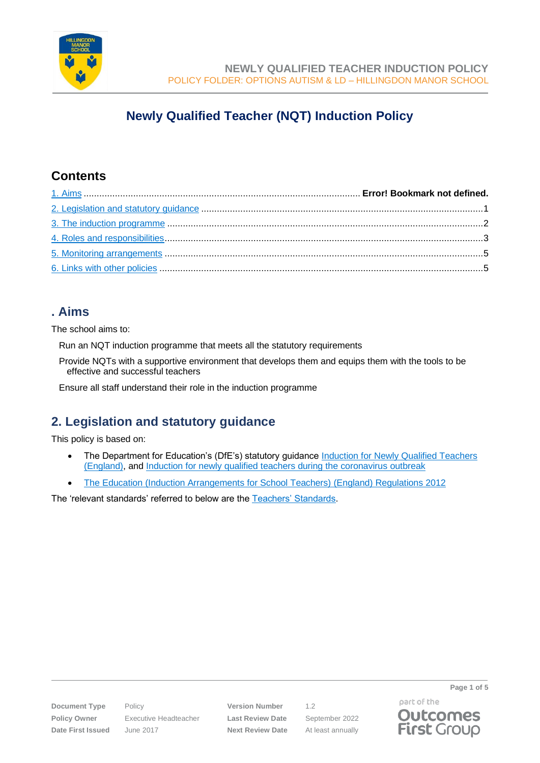

# **Newly Qualified Teacher (NQT) Induction Policy**

### **Contents**

## **. Aims**

The school aims to:

Run an NQT induction programme that meets all the statutory requirements

Provide NQTs with a supportive environment that develops them and equips them with the tools to be effective and successful teachers

Ensure all staff understand their role in the induction programme

## <span id="page-0-0"></span>**2. Legislation and statutory guidance**

This policy is based on:

- The Department for Education's (DfE's) statutory guidance Induction for Newly Qualified Teachers [\(England\),](https://www.gov.uk/government/publications/induction-for-newly-qualified-teachers-nqts) and [Induction for newly qualified teachers during the coronavirus outbreak](https://www.gov.uk/government/publications/coronavirus-covid-19-induction-for-newly-qualified-teachers/covid-19-induction-for-newly-qualified-teachers-guidance)
- [The Education \(Induction Arrangements for School Teachers\) \(England\) Regulations 2012](http://www.legislation.gov.uk/uksi/2012/1115/contents/made)

The 'relevant standards' referred to below are the [Teachers' Standards.](https://www.gov.uk/government/publications/teachers-standards)

**Document Type** Policy **Version Number** 1.2 **Policy Owner** Executive Headteacher **Last Review Date** September 2022 **Date First Issued** June 2017 **Next Review Date** At least annually

part of the **Outcomes First Group** 

**Page 1 of 5**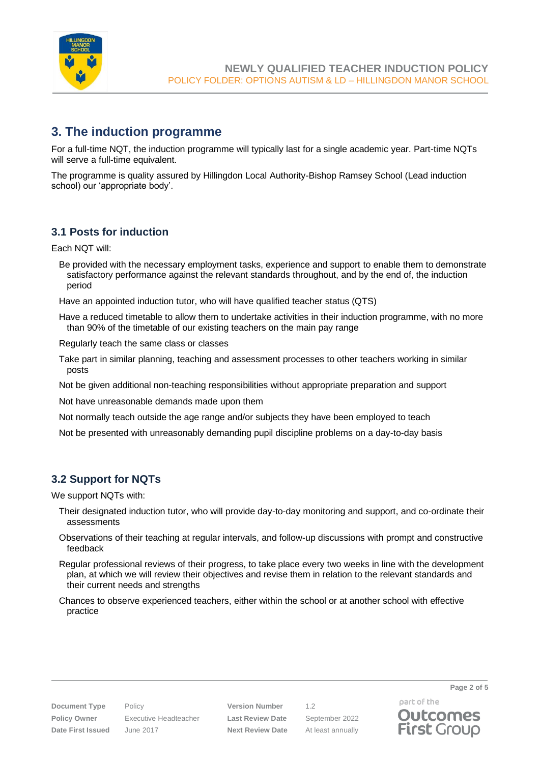

### <span id="page-1-0"></span>**3. The induction programme**

For a full-time NQT, the induction programme will typically last for a single academic year. Part-time NQTs will serve a full-time equivalent.

The programme is quality assured by Hillingdon Local Authority-Bishop Ramsey School (Lead induction school) our 'appropriate body'.

### **3.1 Posts for induction**

Each NQT will:

Be provided with the necessary employment tasks, experience and support to enable them to demonstrate satisfactory performance against the relevant standards throughout, and by the end of, the induction period

Have an appointed induction tutor, who will have qualified teacher status (QTS)

Have a reduced timetable to allow them to undertake activities in their induction programme, with no more than 90% of the timetable of our existing teachers on the main pay range

Regularly teach the same class or classes

Take part in similar planning, teaching and assessment processes to other teachers working in similar posts

Not be given additional non-teaching responsibilities without appropriate preparation and support

Not have unreasonable demands made upon them

Not normally teach outside the age range and/or subjects they have been employed to teach

Not be presented with unreasonably demanding pupil discipline problems on a day-to-day basis

### **3.2 Support for NQTs**

We support NQTs with:

- Their designated induction tutor, who will provide day-to-day monitoring and support, and co-ordinate their assessments
- Observations of their teaching at regular intervals, and follow-up discussions with prompt and constructive feedback
- Regular professional reviews of their progress, to take place every two weeks in line with the development plan, at which we will review their objectives and revise them in relation to the relevant standards and their current needs and strengths
- Chances to observe experienced teachers, either within the school or at another school with effective practice

**Document Type** Policy **Version Number** 1.2 **Policy Owner** Executive Headteacher **Last Review Date** September 2022 **Date First Issued** June 2017 **Next Review Date** At least annually

part of the **Outcomes First Group**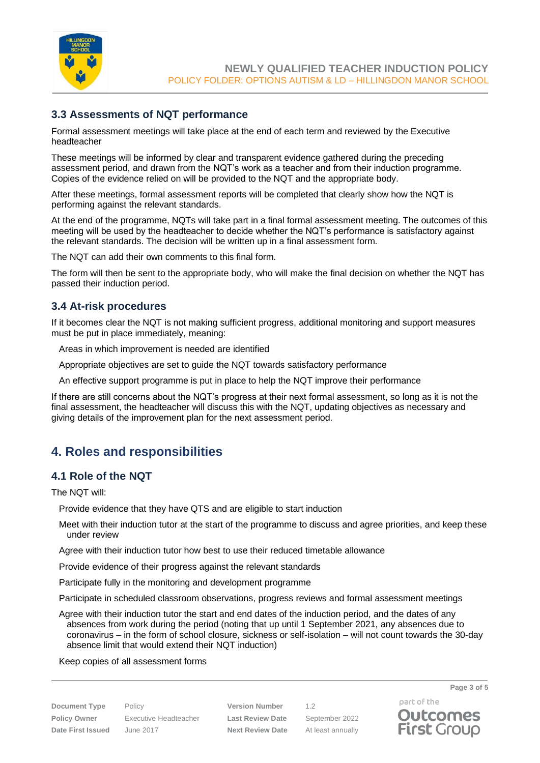

### **3.3 Assessments of NQT performance**

Formal assessment meetings will take place at the end of each term and reviewed by the Executive headteacher

These meetings will be informed by clear and transparent evidence gathered during the preceding assessment period, and drawn from the NQT's work as a teacher and from their induction programme. Copies of the evidence relied on will be provided to the NQT and the appropriate body.

After these meetings, formal assessment reports will be completed that clearly show how the NQT is performing against the relevant standards.

At the end of the programme, NQTs will take part in a final formal assessment meeting. The outcomes of this meeting will be used by the headteacher to decide whether the NQT's performance is satisfactory against the relevant standards. The decision will be written up in a final assessment form.

The NQT can add their own comments to this final form.

The form will then be sent to the appropriate body, who will make the final decision on whether the NQT has passed their induction period.

### **3.4 At-risk procedures**

If it becomes clear the NQT is not making sufficient progress, additional monitoring and support measures must be put in place immediately, meaning:

Areas in which improvement is needed are identified

Appropriate objectives are set to guide the NQT towards satisfactory performance

An effective support programme is put in place to help the NQT improve their performance

If there are still concerns about the NQT's progress at their next formal assessment, so long as it is not the final assessment, the headteacher will discuss this with the NQT, updating objectives as necessary and giving details of the improvement plan for the next assessment period.

### <span id="page-2-0"></span>**4. Roles and responsibilities**

#### **4.1 Role of the NQT**

The NQT will:

Provide evidence that they have QTS and are eligible to start induction

Meet with their induction tutor at the start of the programme to discuss and agree priorities, and keep these under review

Agree with their induction tutor how best to use their reduced timetable allowance

Provide evidence of their progress against the relevant standards

Participate fully in the monitoring and development programme

Participate in scheduled classroom observations, progress reviews and formal assessment meetings

Agree with their induction tutor the start and end dates of the induction period, and the dates of any absences from work during the period (noting that up until 1 September 2021, any absences due to coronavirus – in the form of school closure, sickness or self-isolation – will not count towards the 30-day absence limit that would extend their NQT induction)

#### Keep copies of all assessment forms

**Document Type** Policy **Version Number** 1.2 **Policy Owner** Executive Headteacher **Last Review Date** September 2022 **Date First Issued** June 2017 **Next Review Date** At least annually

**Page 3 of 5**

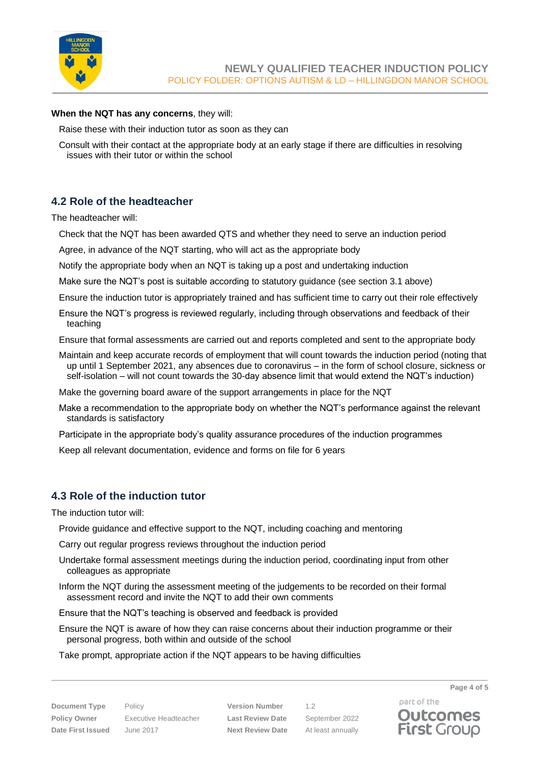

#### **When the NQT has any concerns**, they will:

Raise these with their induction tutor as soon as they can

Consult with their contact at the appropriate body at an early stage if there are difficulties in resolving issues with their tutor or within the school

### **4.2 Role of the headteacher**

The headteacher will:

- Check that the NQT has been awarded QTS and whether they need to serve an induction period
- Agree, in advance of the NQT starting, who will act as the appropriate body
- Notify the appropriate body when an NQT is taking up a post and undertaking induction
- Make sure the NQT's post is suitable according to statutory guidance (see section 3.1 above)
- Ensure the induction tutor is appropriately trained and has sufficient time to carry out their role effectively
- Ensure the NQT's progress is reviewed regularly, including through observations and feedback of their teaching
- Ensure that formal assessments are carried out and reports completed and sent to the appropriate body
- Maintain and keep accurate records of employment that will count towards the induction period (noting that up until 1 September 2021, any absences due to coronavirus – in the form of school closure, sickness or self-isolation – will not count towards the 30-day absence limit that would extend the NQT's induction)

Make the governing board aware of the support arrangements in place for the NQT

- Make a recommendation to the appropriate body on whether the NQT's performance against the relevant standards is satisfactory
- Participate in the appropriate body's quality assurance procedures of the induction programmes
- Keep all relevant documentation, evidence and forms on file for 6 years

#### **4.3 Role of the induction tutor**

The induction tutor will:

- Provide guidance and effective support to the NQT, including coaching and mentoring
- Carry out regular progress reviews throughout the induction period
- Undertake formal assessment meetings during the induction period, coordinating input from other colleagues as appropriate
- Inform the NQT during the assessment meeting of the judgements to be recorded on their formal assessment record and invite the NQT to add their own comments
- Ensure that the NQT's teaching is observed and feedback is provided
- Ensure the NQT is aware of how they can raise concerns about their induction programme or their personal progress, both within and outside of the school
- Take prompt, appropriate action if the NQT appears to be having difficulties

**Document Type** Policy **Version Number** 1.2 **Policy Owner** Executive Headteacher **Last Review Date** September 2022 **Date First Issued** June 2017 **Next Review Date** At least annually

part of the **Outcomes First Group** 

**Page 4 of 5**